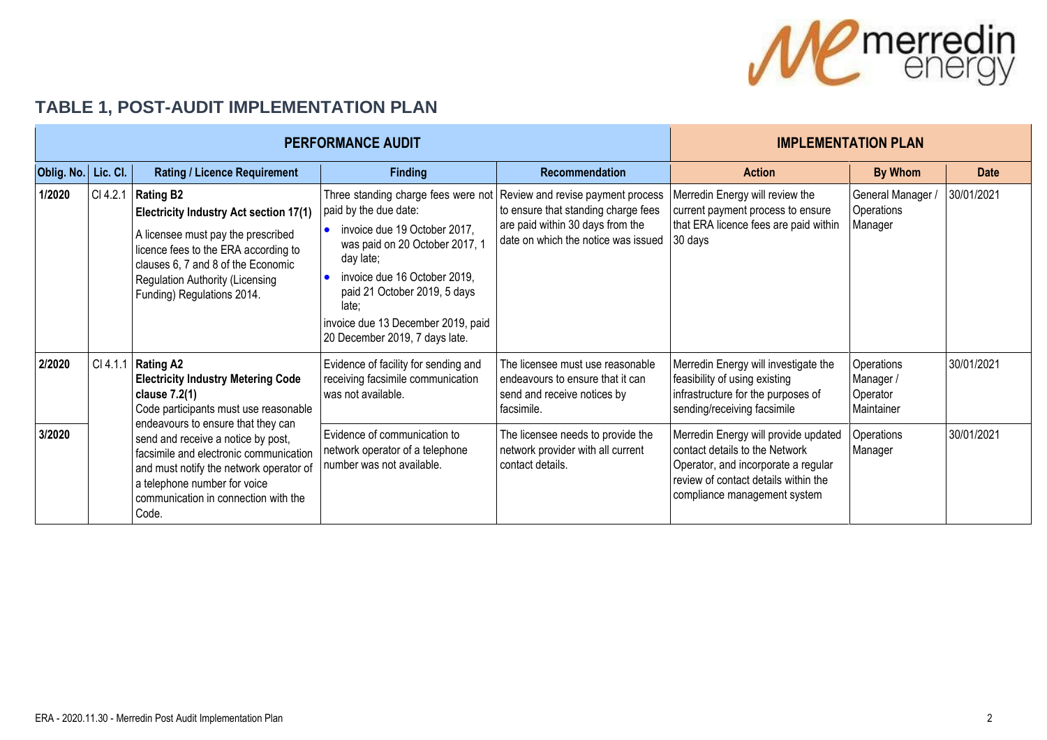

## **TABLE 1, POST-AUDIT IMPLEMENTATION PLAN**

|                     |          | <b>PERFORMANCE AUDIT</b>                                                                                                                                                                                                                                                                                                                                                    | <b>IMPLEMENTATION PLAN</b>                                                                                                                                                                                                                                                                   |                                                                                                                                                     |                                                                                                                                                                                       |                                                   |             |
|---------------------|----------|-----------------------------------------------------------------------------------------------------------------------------------------------------------------------------------------------------------------------------------------------------------------------------------------------------------------------------------------------------------------------------|----------------------------------------------------------------------------------------------------------------------------------------------------------------------------------------------------------------------------------------------------------------------------------------------|-----------------------------------------------------------------------------------------------------------------------------------------------------|---------------------------------------------------------------------------------------------------------------------------------------------------------------------------------------|---------------------------------------------------|-------------|
| Oblig. No. Lic. Cl. |          | <b>Rating / Licence Requirement</b>                                                                                                                                                                                                                                                                                                                                         | <b>Finding</b>                                                                                                                                                                                                                                                                               | Recommendation                                                                                                                                      | <b>Action</b>                                                                                                                                                                         | <b>By Whom</b>                                    | <b>Date</b> |
| 1/2020              | CI 4.2.1 | <b>Rating B2</b><br><b>Electricity Industry Act section 17(1)</b><br>A licensee must pay the prescribed<br>licence fees to the ERA according to<br>clauses 6, 7 and 8 of the Economic<br>Regulation Authority (Licensing<br>Funding) Regulations 2014.                                                                                                                      | Three standing charge fees were not<br>paid by the due date:<br>invoice due 19 October 2017,<br>was paid on 20 October 2017, 1<br>day late;<br>invoice due 16 October 2019,<br>paid 21 October 2019, 5 days<br>late:<br>invoice due 13 December 2019, paid<br>20 December 2019, 7 days late. | Review and revise payment process<br>to ensure that standing charge fees<br>are paid within 30 days from the<br>date on which the notice was issued | Merredin Energy will review the<br>current payment process to ensure<br>that ERA licence fees are paid within<br>$30$ days                                                            | General Manager /<br>Operations<br>Manager        | 30/01/2021  |
| 2/2020              |          | CI 4.1.1 Rating A2<br><b>Electricity Industry Metering Code</b><br>clause 7.2(1)<br>Code participants must use reasonable<br>endeavours to ensure that they can<br>send and receive a notice by post,<br>facsimile and electronic communication<br>and must notify the network operator of<br>a telephone number for voice<br>communication in connection with the<br>Code. | Evidence of facility for sending and<br>receiving facsimile communication<br>was not available.                                                                                                                                                                                              | The licensee must use reasonable<br>endeavours to ensure that it can<br>send and receive notices by<br>facsimile.                                   | Merredin Energy will investigate the<br>feasibility of using existing<br>infrastructure for the purposes of<br>sending/receiving facsimile                                            | Operations<br>Manager /<br>Operator<br>Maintainer | 30/01/2021  |
| 3/2020              |          |                                                                                                                                                                                                                                                                                                                                                                             | Evidence of communication to<br>network operator of a telephone<br>number was not available.                                                                                                                                                                                                 | The licensee needs to provide the<br>network provider with all current<br>contact details.                                                          | Merredin Energy will provide updated<br>contact details to the Network<br>Operator, and incorporate a regular<br>review of contact details within the<br>compliance management system | Operations<br>Manager                             | 30/01/2021  |